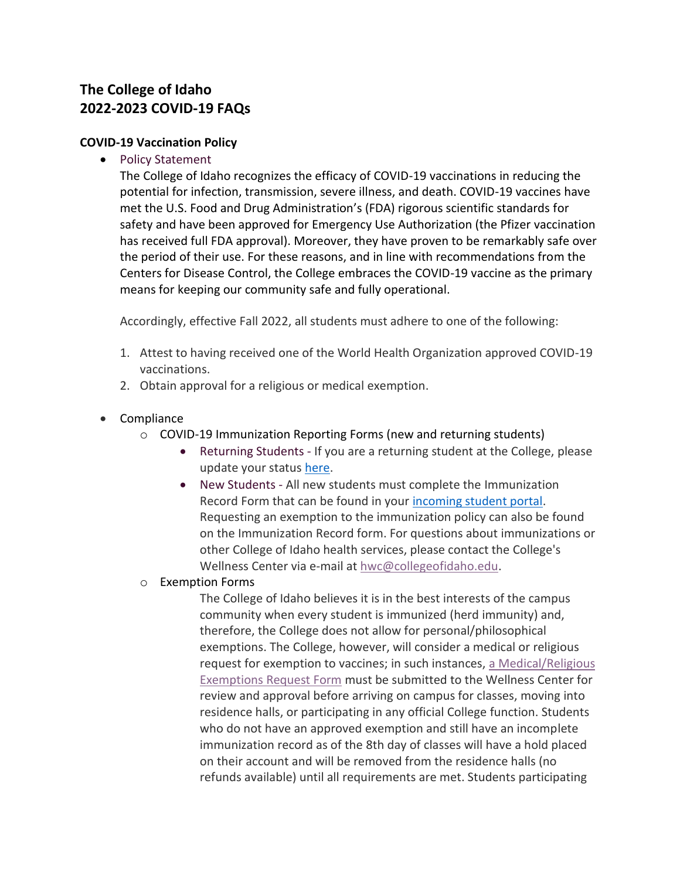# **The College of Idaho 2022-2023 COVID-19 FAQs**

#### **COVID-19 Vaccination Policy**

• Policy Statement

The College of Idaho recognizes the efficacy of COVID-19 vaccinations in reducing the potential for infection, transmission, severe illness, and death. COVID-19 vaccines have met the U.S. Food and Drug Administration's (FDA) rigorous scientific standards for safety and have been approved for Emergency Use Authorization (the Pfizer vaccination has received full FDA approval). Moreover, they have proven to be remarkably safe over the period of their use. For these reasons, and in line with recommendations from the Centers for Disease Control, the College embraces the COVID-19 vaccine as the primary means for keeping our community safe and fully operational.

Accordingly, effective Fall 2022, all students must adhere to one of the following:

- 1. Attest to having received one of the World Health Organization approved COVID-19 vaccinations.
- 2. Obtain approval for a religious or medical exemption.
- Compliance
	- o COVID-19 Immunization Reporting Forms (new and returning students)
		- Returning Students If you are a returning student at the College, please update your status [here.](https://forms.office.com/Pages/ResponsePage.aspx?id=fBitJlJTO0mZ47BkrKKz1qEnfpZ8uQtFvFxHvjsc1ohUQ1JIWEMzN1M4WkxQQks0MDlHRzlNVDhCNCQlQCN0PWcu)
		- New Students All new students must complete the Immunization Record Form that can be found in your [incoming student portal.](https://apply.collegeofidaho.edu/account/login?r=https%3a%2f%2fapply.collegeofidaho.edu%2fportal%2fstatus) Requesting an exemption to the immunization policy can also be found on the Immunization Record form. For questions about immunizations or other College of Idaho health services, please contact the College's Wellness Center via e-mail at [hwc@collegeofidaho.edu.](mailto:hwc@collegeofidaho.edu)
	- o Exemption Forms

The College of Idaho believes it is in the best interests of the campus community when every student is immunized (herd immunity) and, therefore, the College does not allow for personal/philosophical exemptions. The College, however, will consider a medical or religious request for exemption to vaccines; in such instances, [a Medical/Religious](https://www.collegeofidaho.edu/sites/default/files/inline-files/Exemption%20Form_2.pdf)  [Exemptions Request Form](https://www.collegeofidaho.edu/sites/default/files/inline-files/Exemption%20Form_2.pdf) must be submitted to the Wellness Center for review and approval before arriving on campus for classes, moving into residence halls, or participating in any official College function. Students who do not have an approved exemption and still have an incomplete immunization record as of the 8th day of classes will have a hold placed on their account and will be removed from the residence halls (no refunds available) until all requirements are met. Students participating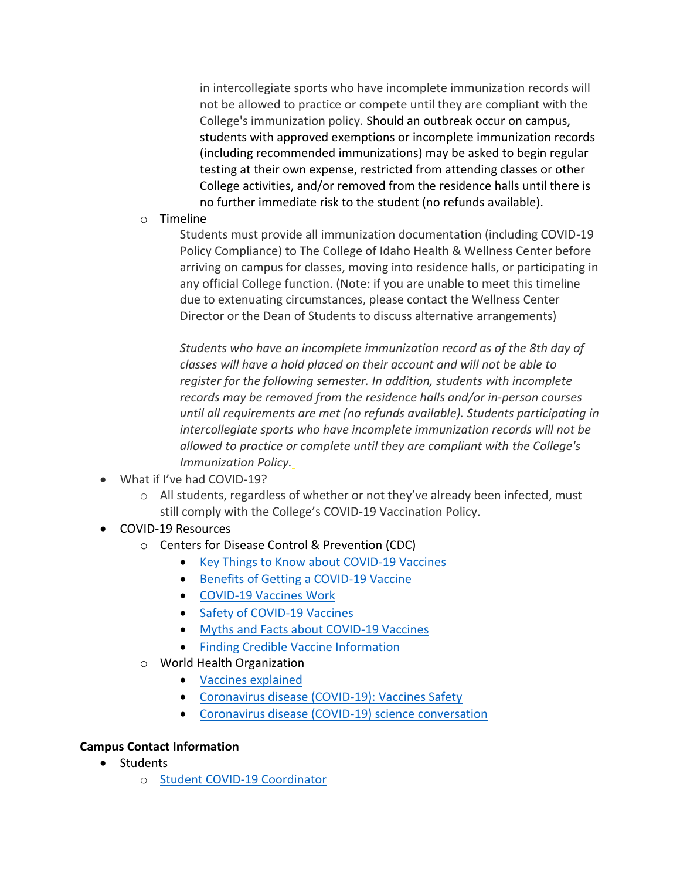in intercollegiate sports who have incomplete immunization records will not be allowed to practice or compete until they are compliant with the College's immunization policy. Should an outbreak occur on campus, students with approved exemptions or incomplete immunization records (including recommended immunizations) may be asked to begin regular testing at their own expense, restricted from attending classes or other College activities, and/or removed from the residence halls until there is no further immediate risk to the student (no refunds available).

o Timeline

Students must provide all immunization documentation (including COVID-19 Policy Compliance) to The College of Idaho Health & Wellness Center before arriving on campus for classes, moving into residence halls, or participating in any official College function. (Note: if you are unable to meet this timeline due to extenuating circumstances, please contact the Wellness Center Director or the Dean of Students to discuss alternative arrangements)

*Students who have an incomplete immunization record as of the 8th day of classes will have a hold placed on their account and will not be able to register for the following semester. In addition, students with incomplete records may be removed from the residence halls and/or in-person courses until all requirements are met (no refunds available). Students participating in intercollegiate sports who have incomplete immunization records will not be allowed to practice or complete until they are compliant with the College's Immunization Policy.*

- What if I've had COVID-19?
	- $\circ$  All students, regardless of whether or not they've already been infected, must still comply with the College's COVID-19 Vaccination Policy.
- COVID-19 Resources
	- o Centers for Disease Control & Prevention (CDC)
		- [Key Things to Know about COVID-19 Vaccines](https://www.cdc.gov/coronavirus/2019-ncov/vaccines/keythingstoknow.html?s_cid=10490:covid%20vaccinations:sem.ga:p:RG:GM:gen:PTN:FY21)
		- [Benefits of Getting a COVID-19 Vaccine](https://www.cdc.gov/coronavirus/2019-ncov/vaccines/vaccine-benefits.html)
		- [COVID-19 Vaccines Work](https://www.cdc.gov/coronavirus/2019-ncov/vaccines/effectiveness/work.html)
		- [Safety of COVID-19 Vaccines](https://www.cdc.gov/coronavirus/2019-ncov/vaccines/safety/safety-of-vaccines.html)
		- [Myths and Facts about COVID-19 Vaccines](https://www.cdc.gov/coronavirus/2019-ncov/vaccines/facts.html)
		- [Finding Credible Vaccine Information](https://www.cdc.gov/vaccines/vac-gen/evalwebs.htm)
	- o World Health Organization
		- [Vaccines explained](https://www.who.int/emergencies/diseases/novel-coronavirus-2019/covid-19-vaccines/explainers)
		- [Coronavirus disease \(COVID-19\): Vaccines Safety](https://www.who.int/news-room/q-a-detail/coronavirus-disease-(covid-19)-vaccines-safety)
		- [Coronavirus disease \(COVID-19\) science conversation](https://www.who.int/emergencies/diseases/novel-coronavirus-2019/media-resources/science-in-5)

### **Campus Contact Information**

- Students
	- o [Student COVID-19 Coordinator](https://www.collegeofidaho.edu/directory?name=sydney+ewing&dept=All&aos=All)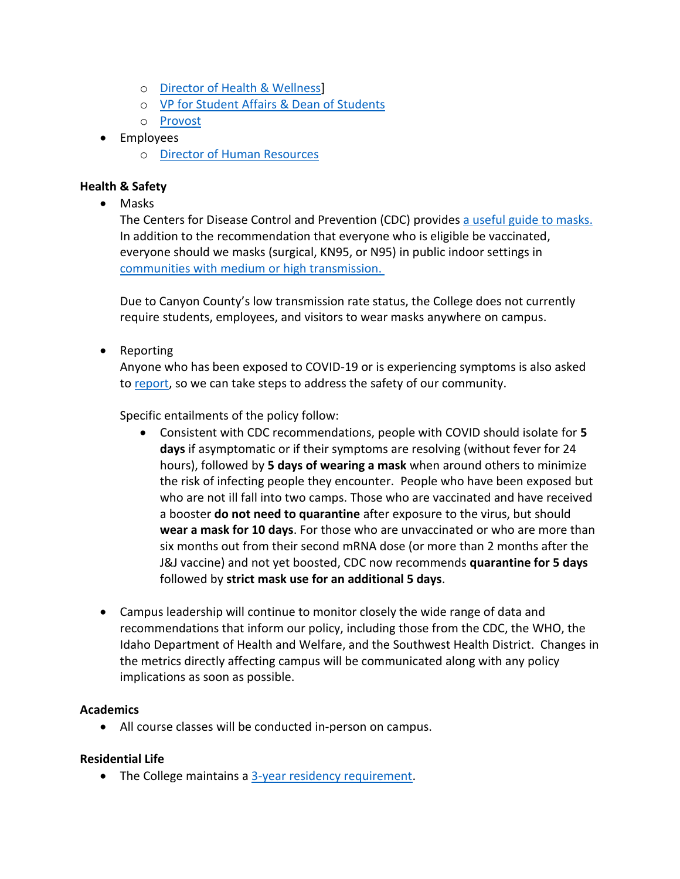- o [Director of Health & Wellness\]](https://www.collegeofidaho.edu/directory?name=natalie&dept=All&aos=All)
- o [VP for Student Affairs & Dean of Students](https://www.collegeofidaho.edu/directory?name=bennion&dept=All&aos=All)
- o [Provost](https://www.collegeofidaho.edu/directory?name=douglass&dept=All&aos=All)
- Employees
	- o [Director of Human Resources](https://www.collegeofidaho.edu/directory?name=nancy&dept=All&aos=All)

## **Health & Safety**

• Masks

The Centers for Dise[a](https://www.cdc.gov/coronavirus/2019-ncov/prevent-getting-sick/about-face-coverings.html)se Control and Prevention (CDC) provides a useful [guide](https://www.cdc.gov/coronavirus/2019-ncov/prevent-getting-sick/about-face-coverings.html) to masks. In addition to the recommendation that everyone who is eligible be vaccinated, everyone should we masks (surgical, KN95, or N95) in public indoor settings in communities with medium [or high transmission.](https://www.cdc.gov/coronavirus/2019-ncov/your-health/covid-by-county.html)

Due to Canyon County's low transmission rate status, the College does not currently require students, employees, and visitors to wear masks anywhere on campus.

• Reporting

Anyone who has been exposed to COVID-19 or is experiencing symptoms is also asked to [report,](https://www.collegeofidaho.edu/COVIDReport) so we can take steps to address the safety of our community.

Specific entailments of the policy follow:

- Consistent with CDC recommendations, people with COVID should isolate for **5 days** if asymptomatic or if their symptoms are resolving (without fever for 24 hours), followed by **5 days of wearing a mask** when around others to minimize the risk of infecting people they encounter. People who have been exposed but who are not ill fall into two camps. Those who are vaccinated and have received a booster **do not need to quarantine** after exposure to the virus, but should **wear a mask for 10 days**. For those who are unvaccinated or who are more than six months out from their second mRNA dose (or more than 2 months after the J&J vaccine) and not yet boosted, CDC now recommends **quarantine for 5 days** followed by **strict mask use for an additional 5 days**.
- Campus leadership will continue to monitor closely the wide range of data and recommendations that inform our policy, including those from the CDC, the WHO, the Idaho Department of Health and Welfare, and the Southwest Health District. Changes in the metrics directly affecting campus will be communicated along with any policy implications as soon as possible.

### **Academics**

• All course classes will be conducted in-person on campus.

### **Residential Life**

• The College maintains a [3-year residency requirement.](https://www.collegeofidaho.edu/student-life/residence-life)